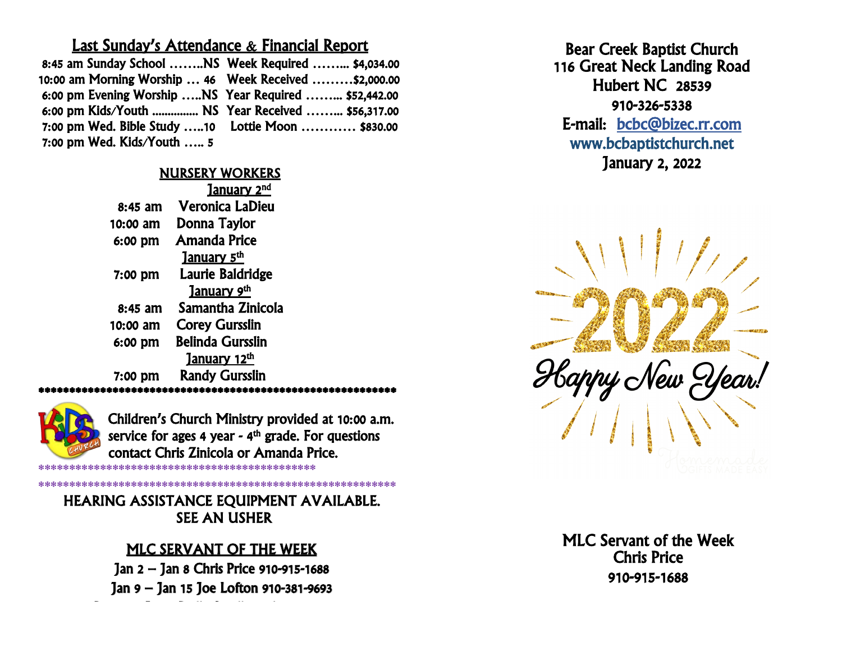#### Last Sunday's Attendance & Financial Report

| 8:45 am Sunday School NS Week Required  \$4,034.00     |  |
|--------------------------------------------------------|--|
| 10:00 am Morning Worship  46 Week Received  \$2,000.00 |  |
| 6:00 pm Evening Worship  NS Year Required  \$52,442.00 |  |
| 6:00 pm Kids/Youth  NS Year Received  \$56,317.00      |  |
| 7:00 pm Wed. Bible Study 10    Lottie Moon  \$830.00   |  |
| 7:00 pm Wed. Kids/Youth  5                             |  |

#### NURSERY WORKERS

|           | <u>January 2<sup>nd</sup></u> |
|-----------|-------------------------------|
| $8:45$ am | <b>Veronica LaDieu</b>        |
| 10:00 am  | Donna Taylor                  |
| 6:00 pm   | Amanda Price                  |
|           | January 5 <sup>th</sup>       |
| 7:00 pm   | Laurie Baldridge              |
|           | January 9th                   |
| 8:45 am   | Samantha Zinicola             |
| 10:00 am  | <b>Corey Gursslin</b>         |
| 6:00 pm   | <b>Belinda Gursslin</b>       |
|           | January 12th                  |
| 7:00 pm   | <b>Randy Gursslin</b>         |
|           |                               |

Children's Church Ministry provided at 10:00 a.m. service for ages 4 year - 4<sup>th</sup> grade. For questions contact Chris Zinicola or Amanda Price. \*\*\*\*\*\*\*\*\*\*\*\*\*\*\*\*\*\*\*\*\*\*\*\*\*\*\*\*\*\*\*\*\*\*\*\*\*\*\*\*\*\*\*\*\*

**\*\*\*\*\*\*\*\*\*\*\*\*\*\*\*\*\*\*\*\*\*\*\*\*\*\*\*\*\*\*\*\*\*\*\*\*\*\*\*\*\*\*\*\*\*** SEE AN USHER HEARING ASSISTANCE EQUIPMENT AVAILABLE.

\*\*\*\*\*\*\*\*\*\*\*\*\*\*\*\*\*\*\*\*\*\*\*\*\*\*\*\*\*\*\*\*\*\*\*\*\*\*\*\*\*\*\*\*\*\*\*\*\*\*\*\*\*\*\*\*\*\*

#### MLC SERVANT OF THE WEEK i.

Jan 2 – Jan 8 Chris Price 910-915-1688 Jan 9 – Jan 15 Joe Lofton 910-381-9693

Dec 26– Jan 2 Dolly Smallwood 910-548-4239

Ï Bear Creek Baptist Church 116 Great Neck Landing Road Hubert NC 28539 910-326-5338 E-mail: [bcbc@bizec.rr.com](mailto:bcbc@bizec.rr.com)  www.bcbaptistchurch.net January 2, 2022



J Chris Price יי<br>מ Ĭ MLC Servant of the Week 910-915-1688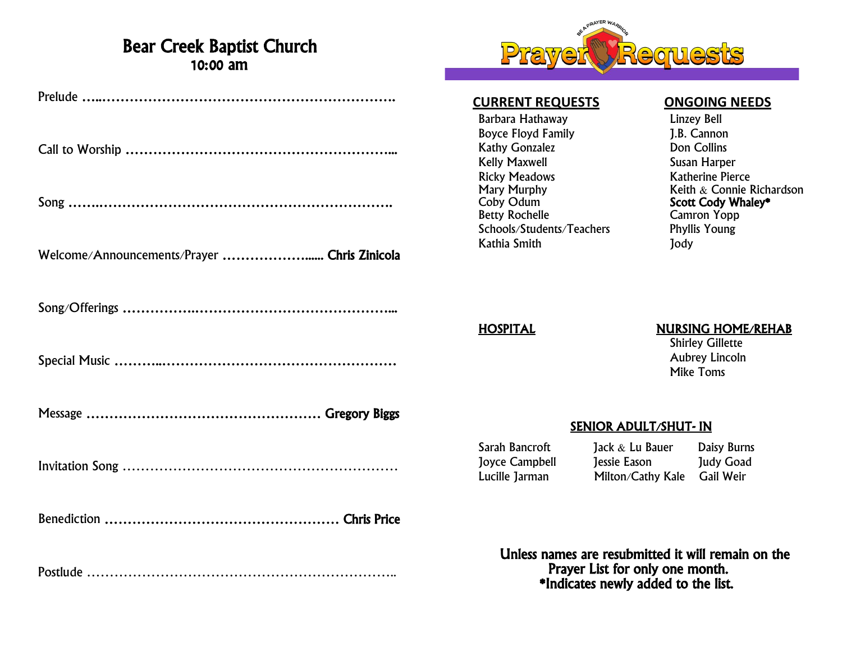### Bear Creek Baptist Church 10:00 am

| Welcome/Announcements/Prayer  Chris Zinicola |
|----------------------------------------------|
|                                              |
|                                              |
|                                              |
|                                              |
|                                              |
|                                              |



#### **CURRENT REQUESTS ONGOING NEEDS**

Barbara Hathaway Linzey Bell Boyce Floyd Family J.B. Cannon Kathy Gonzalez **Don Collins** Kelly Maxwell<br>Ricky Meadows **Susan Harper**<br>Katherine Pier Ricky Meadows **Katherine Pierce**<br>
Mary Murphy **Keith & Connie Formation** Coby Odum Scott Cody Whaley\*<br>
Betty Rochelle Camron Yopp Schools/Students/Teachers Phyllis Young Kathia Smith Jody

Mary Murphy **Murphy** Keith & Connie Richardson<br>
Coby Odum **Connie Richardson**<br> **Scott Cody Whaley\*** Camron Yopp

#### HOSPITAL NURSING HOME/REHAB

Shirley Gillette Aubrey Lincoln Mike Toms

#### SENIOR ADULT/SHUT- IN

Sarah Bancroft Jack & Lu Bauer Daisy Burns Joyce Campbell Jessie Eason Judy Goad Lucille Jarman Milton/Cathy Kale Gail Weir

 Unless names are resubmitted it will remain on the Prayer List for only one month. \*Indicates newly added to the list.